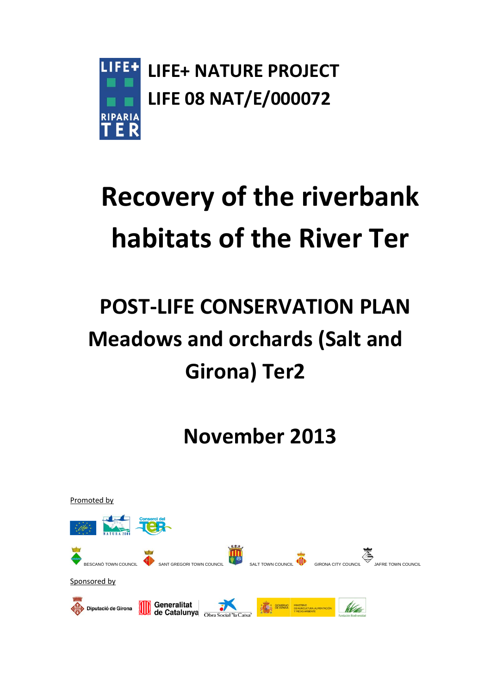

# **Recovery of the riverbank habitats of the River Ter**

## **POST-LIFE CONSERVATION PLAN Meadows and orchards (Salt and Girona) Ter2**

**November 2013**

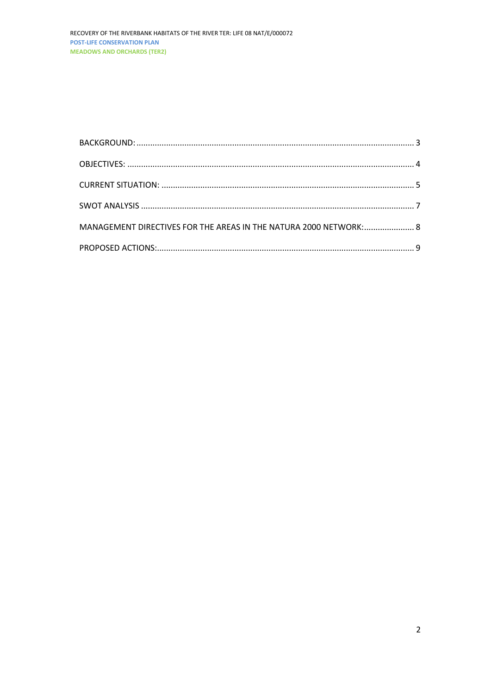| MANAGEMENT DIRECTIVES FOR THE AREAS IN THE NATURA 2000 NETWORK: 8 |  |
|-------------------------------------------------------------------|--|
|                                                                   |  |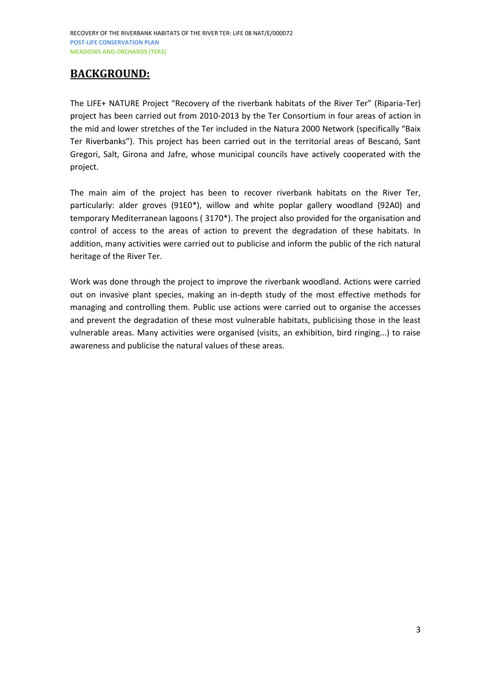## <span id="page-2-0"></span>**BACKGROUND:**

The LIFE+ NATURE Project "Recovery of the riverbank habitats of the River Ter" (Riparia-Ter) project has been carried out from 2010-2013 by the Ter Consortium in four areas of action in the mid and lower stretches of the Ter included in the Natura 2000 Network (specifically "Baix Ter Riverbanks"). This project has been carried out in the territorial areas of Bescanó, Sant Gregori, Salt, Girona and Jafre, whose municipal councils have actively cooperated with the project.

The main aim of the project has been to recover riverbank habitats on the River Ter, particularly: alder groves (91E0\*), willow and white poplar gallery woodland (92A0) and temporary Mediterranean lagoons ( 3170\*). The project also provided for the organisation and control of access to the areas of action to prevent the degradation of these habitats. In addition, many activities were carried out to publicise and inform the public of the rich natural heritage of the River Ter.

Work was done through the project to improve the riverbank woodland. Actions were carried out on invasive plant species, making an in-depth study of the most effective methods for managing and controlling them. Public use actions were carried out to organise the accesses and prevent the degradation of these most vulnerable habitats, publicising those in the least vulnerable areas. Many activities were organised (visits, an exhibition, bird ringing...) to raise awareness and publicise the natural values of these areas.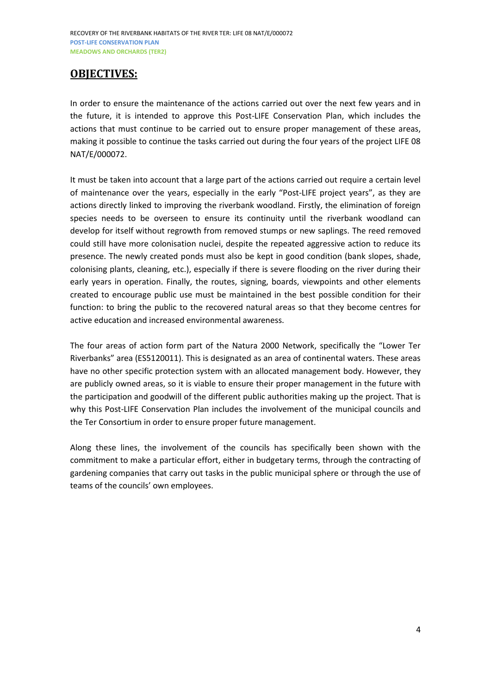RECOVERY OF THE RIVERBANK HABITATS OF THE RIVER TER: LIFE 08 NAT/E/000072 **POST-LIFE CONSERVATION PLAN MEADOWS AND ORCHARDS (TER2)**

### <span id="page-3-0"></span>**OBJECTIVES:**

In order to ensure the maintenance of the actions carried out over the next few years and in the future, it is intended to approve this Post-LIFE Conservation Plan, which includes the actions that must continue to be carried out to ensure proper management of these areas, making it possible to continue the tasks carried out during the four years of the project LIFE 08 NAT/E/000072.

It must be taken into account that a large part of the actions carried out require a certain level of maintenance over the years, especially in the early "Post-LIFE project years", as they are actions directly linked to improving the riverbank woodland. Firstly, the elimination of foreign species needs to be overseen to ensure its continuity until the riverbank woodland can develop for itself without regrowth from removed stumps or new saplings. The reed removed could still have more colonisation nuclei, despite the repeated aggressive action to reduce its presence. The newly created ponds must also be kept in good condition (bank slopes, shade, colonising plants, cleaning, etc.), especially if there is severe flooding on the river during their early years in operation. Finally, the routes, signing, boards, viewpoints and other elements created to encourage public use must be maintained in the best possible condition for their function: to bring the public to the recovered natural areas so that they become centres for active education and increased environmental awareness.

The four areas of action form part of the Natura 2000 Network, specifically the "Lower Ter Riverbanks" area (ES5120011). This is designated as an area of continental waters. These areas have no other specific protection system with an allocated management body. However, they are publicly owned areas, so it is viable to ensure their proper management in the future with the participation and goodwill of the different public authorities making up the project. That is why this Post-LIFE Conservation Plan includes the involvement of the municipal councils and the Ter Consortium in order to ensure proper future management.

Along these lines, the involvement of the councils has specifically been shown with the commitment to make a particular effort, either in budgetary terms, through the contracting of gardening companies that carry out tasks in the public municipal sphere or through the use of teams of the councils' own employees.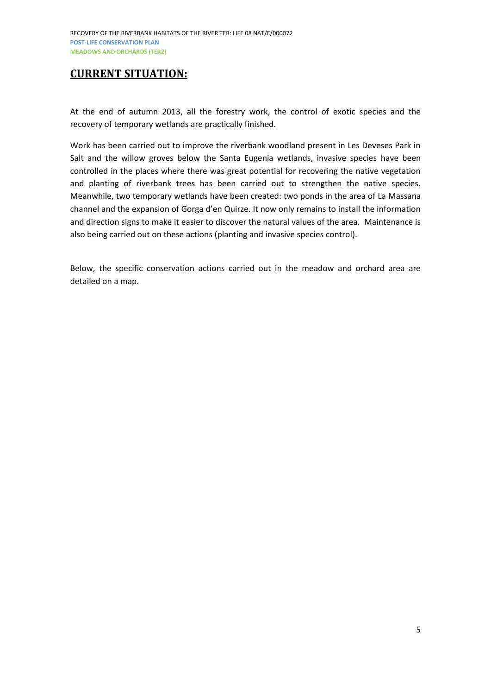## <span id="page-4-0"></span>**CURRENT SITUATION:**

At the end of autumn 2013, all the forestry work, the control of exotic species and the recovery of temporary wetlands are practically finished.

Work has been carried out to improve the riverbank woodland present in Les Deveses Park in Salt and the willow groves below the Santa Eugenia wetlands, invasive species have been controlled in the places where there was great potential for recovering the native vegetation and planting of riverbank trees has been carried out to strengthen the native species. Meanwhile, two temporary wetlands have been created: two ponds in the area of La Massana channel and the expansion of Gorga d'en Quirze. It now only remains to install the information and direction signs to make it easier to discover the natural values of the area. Maintenance is also being carried out on these actions (planting and invasive species control).

Below, the specific conservation actions carried out in the meadow and orchard area are detailed on a map.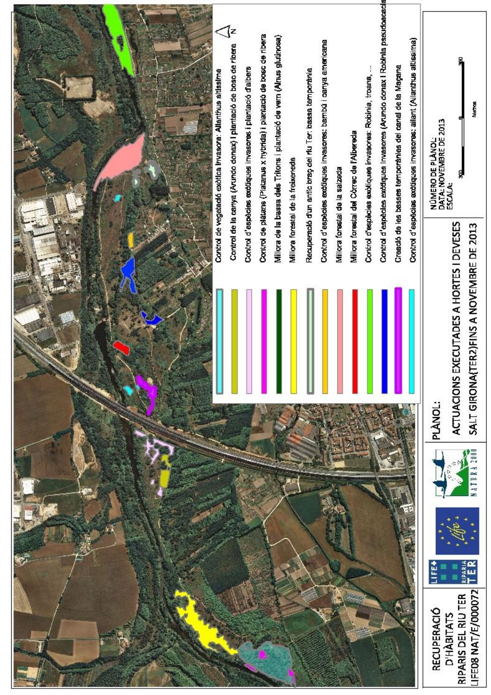|  | ্(z<br>Control de la canya (Arundo donax) I plantació de bosc de ribera<br>Control d'espècies excliques invasores i plantació d'albers<br>Control de vegetadó exòtica invasora: Allanthus altissima | Control de plátans (Platanus x hybrida) i plantació de bosc de ribera<br>Millora de la bassa dels Tritons i plantació de vern (Alnus glutinosa)<br>Millora forestal de la freixeneda | Control d'espècies excitiques invasores: bambú i canya americana<br>Recuperació d'un antic braç del riu Ter: bassa temporània<br>Millora forestal del Còrrec de l'Albereda<br>Millora fonestal de la salzeda | Control d'espècies exodiques invasores (Arundo donax i Robinia pseudoacacia<br>Control d'espècies exotiques invasores: allant (Ailanthus altissima)<br>Creació de les basses temporànies del canal de la Magana<br>Control d'espècies exotiques invasores: Robinia, troans, | National<br>NÚMERO DE PLÁNOL:<br>DATA: NOVEMBRE DE 2013<br>ESCALA:<br>ş                                |
|--|-----------------------------------------------------------------------------------------------------------------------------------------------------------------------------------------------------|--------------------------------------------------------------------------------------------------------------------------------------------------------------------------------------|--------------------------------------------------------------------------------------------------------------------------------------------------------------------------------------------------------------|-----------------------------------------------------------------------------------------------------------------------------------------------------------------------------------------------------------------------------------------------------------------------------|--------------------------------------------------------------------------------------------------------|
|  |                                                                                                                                                                                                     |                                                                                                                                                                                      |                                                                                                                                                                                                              |                                                                                                                                                                                                                                                                             | EXECUTADES A HORTES I DEVESES<br>(TER2)FINS A NOVEMBRE DE 2013<br>SALT GIRONA<br>ACTUACIONS<br>PLANOL: |
|  |                                                                                                                                                                                                     |                                                                                                                                                                                      |                                                                                                                                                                                                              |                                                                                                                                                                                                                                                                             | 2000<br><b>ATUR</b><br>IFE08 NAT/E/000072<br>RIPARIS DEL RIU TER<br>RECUPERACIO<br><b>D'HÀBITATS</b>   |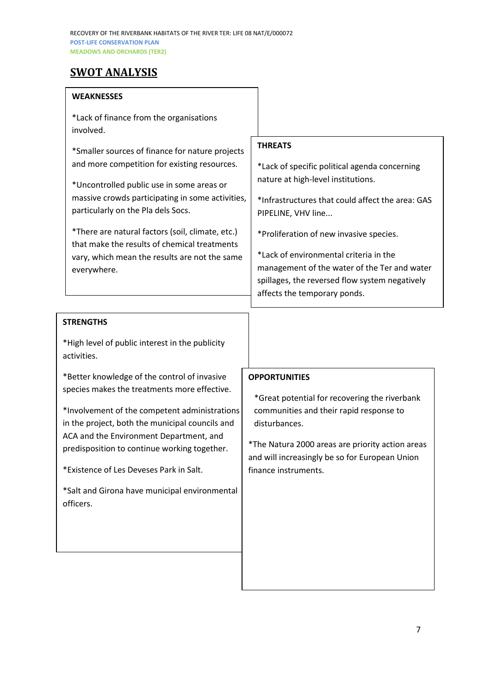## <span id="page-6-0"></span>**SWOT ANALYSIS**

#### **WEAKNESSES**

| *Lack of finance from the organisations<br>involved.                                                                                                                                                                                                                                                                                                                                                       |                                                                                                                                                                                                                                                                                                                                                                                                        |
|------------------------------------------------------------------------------------------------------------------------------------------------------------------------------------------------------------------------------------------------------------------------------------------------------------------------------------------------------------------------------------------------------------|--------------------------------------------------------------------------------------------------------------------------------------------------------------------------------------------------------------------------------------------------------------------------------------------------------------------------------------------------------------------------------------------------------|
| *Smaller sources of finance for nature projects<br>and more competition for existing resources.<br>*Uncontrolled public use in some areas or<br>massive crowds participating in some activities,<br>particularly on the Pla dels Socs.<br>*There are natural factors (soil, climate, etc.)<br>that make the results of chemical treatments<br>vary, which mean the results are not the same<br>everywhere. | <b>THREATS</b><br>*Lack of specific political agenda concerning<br>nature at high-level institutions.<br>*Infrastructures that could affect the area: GAS<br>PIPELINE, VHV line<br>*Proliferation of new invasive species.<br>*Lack of environmental criteria in the<br>management of the water of the Ter and water<br>spillages, the reversed flow system negatively<br>affects the temporary ponds. |
| <b>STRENGTHS</b>                                                                                                                                                                                                                                                                                                                                                                                           |                                                                                                                                                                                                                                                                                                                                                                                                        |
| *High level of public interest in the publicity                                                                                                                                                                                                                                                                                                                                                            |                                                                                                                                                                                                                                                                                                                                                                                                        |

activities. \*Better knowledge of the control of invasive

species makes the treatments more effective.

\*Involvement of the competent administrations in the project, both the municipal councils and ACA and the Environment Department, and predisposition to continue working together.

\*Existence of Les Deveses Park in Salt.

\*Salt and Girona have municipal environmental officers.

#### **OPPORTUNITIES**

\*Great potential for recovering the riverbank communities and their rapid response to disturbances.

\*The Natura 2000 areas are priority action areas and will increasingly be so for European Union finance instruments.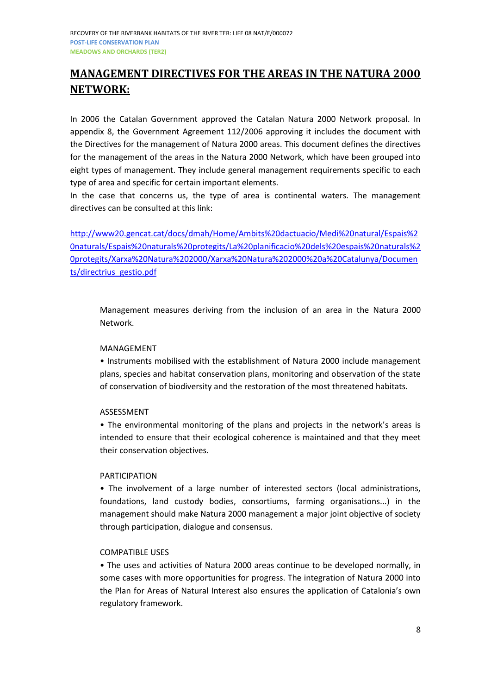## <span id="page-7-0"></span>**MANAGEMENT DIRECTIVES FOR THE AREAS IN THE NATURA 2000 NETWORK:**

In 2006 the Catalan Government approved the Catalan Natura 2000 Network proposal. In appendix 8, the Government Agreement 112/2006 approving it includes the document with the Directives for the management of Natura 2000 areas. This document defines the directives for the management of the areas in the Natura 2000 Network, which have been grouped into eight types of management. They include general management requirements specific to each type of area and specific for certain important elements.

In the case that concerns us, the type of area is continental waters. The management directives can be consulted at this link:

[http://www20.gencat.cat/docs/dmah/Home/Ambits%20dactuacio/Medi%20natural/Espais%2](http://www20.gencat.cat/docs/dmah/Home/Ambits%20dactuacio/Medi%20natural/Espais%20naturals/Espais%20naturals%20protegits/La%20planificacio%20dels%20espais%20naturals%20protegits/Xarxa%20Natura%202000/Xarxa%20Natura%202000%20a%20Catalunya/Documents/directrius_gestio.pdf) [0naturals/Espais%20naturals%20protegits/La%20planificacio%20dels%20espais%20naturals%2](http://www20.gencat.cat/docs/dmah/Home/Ambits%20dactuacio/Medi%20natural/Espais%20naturals/Espais%20naturals%20protegits/La%20planificacio%20dels%20espais%20naturals%20protegits/Xarxa%20Natura%202000/Xarxa%20Natura%202000%20a%20Catalunya/Documents/directrius_gestio.pdf) [0protegits/Xarxa%20Natura%202000/Xarxa%20Natura%202000%20a%20Catalunya/Documen](http://www20.gencat.cat/docs/dmah/Home/Ambits%20dactuacio/Medi%20natural/Espais%20naturals/Espais%20naturals%20protegits/La%20planificacio%20dels%20espais%20naturals%20protegits/Xarxa%20Natura%202000/Xarxa%20Natura%202000%20a%20Catalunya/Documents/directrius_gestio.pdf) [ts/directrius\\_gestio.pdf](http://www20.gencat.cat/docs/dmah/Home/Ambits%20dactuacio/Medi%20natural/Espais%20naturals/Espais%20naturals%20protegits/La%20planificacio%20dels%20espais%20naturals%20protegits/Xarxa%20Natura%202000/Xarxa%20Natura%202000%20a%20Catalunya/Documents/directrius_gestio.pdf)

Management measures deriving from the inclusion of an area in the Natura 2000 Network.

#### MANAGEMENT

• Instruments mobilised with the establishment of Natura 2000 include management plans, species and habitat conservation plans, monitoring and observation of the state of conservation of biodiversity and the restoration of the most threatened habitats.

#### ASSESSMENT

• The environmental monitoring of the plans and projects in the network's areas is intended to ensure that their ecological coherence is maintained and that they meet their conservation objectives.

#### PARTICIPATION

• The involvement of a large number of interested sectors (local administrations, foundations, land custody bodies, consortiums, farming organisations...) in the management should make Natura 2000 management a major joint objective of society through participation, dialogue and consensus.

#### COMPATIBLE USES

• The uses and activities of Natura 2000 areas continue to be developed normally, in some cases with more opportunities for progress. The integration of Natura 2000 into the Plan for Areas of Natural Interest also ensures the application of Catalonia's own regulatory framework.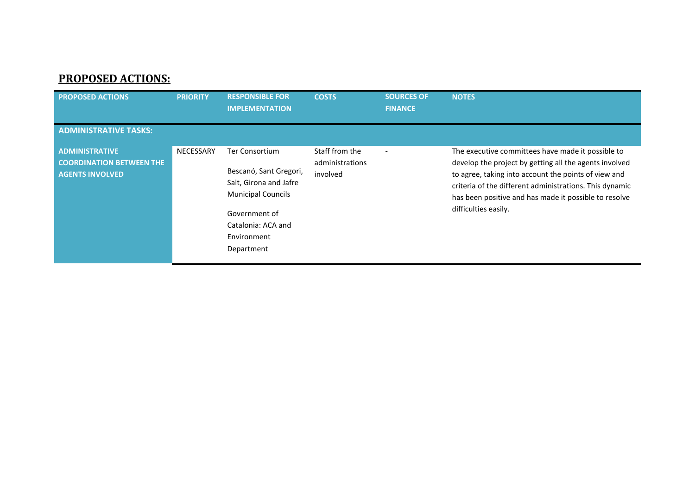## **PROPOSED ACTIONS:**

<span id="page-8-0"></span>

| <b>PROPOSED ACTIONS</b>                                                            | <b>PRIORITY</b>  | <b>RESPONSIBLE FOR</b><br><b>IMPLEMENTATION</b>                                                                                                                            | <b>COSTS</b>                                  | <b>SOURCES OF</b><br><b>FINANCE</b> | <b>NOTES</b>                                                                                                                                                                                                                                                                                                    |
|------------------------------------------------------------------------------------|------------------|----------------------------------------------------------------------------------------------------------------------------------------------------------------------------|-----------------------------------------------|-------------------------------------|-----------------------------------------------------------------------------------------------------------------------------------------------------------------------------------------------------------------------------------------------------------------------------------------------------------------|
| <b>ADMINISTRATIVE TASKS:</b>                                                       |                  |                                                                                                                                                                            |                                               |                                     |                                                                                                                                                                                                                                                                                                                 |
| <b>ADMINISTRATIVE</b><br><b>COORDINATION BETWEEN THE</b><br><b>AGENTS INVOLVED</b> | <b>NECESSARY</b> | <b>Ter Consortium</b><br>Bescanó, Sant Gregori,<br>Salt, Girona and Jafre<br><b>Municipal Councils</b><br>Government of<br>Catalonia: ACA and<br>Environment<br>Department | Staff from the<br>administrations<br>involved |                                     | The executive committees have made it possible to<br>develop the project by getting all the agents involved<br>to agree, taking into account the points of view and<br>criteria of the different administrations. This dynamic<br>has been positive and has made it possible to resolve<br>difficulties easily. |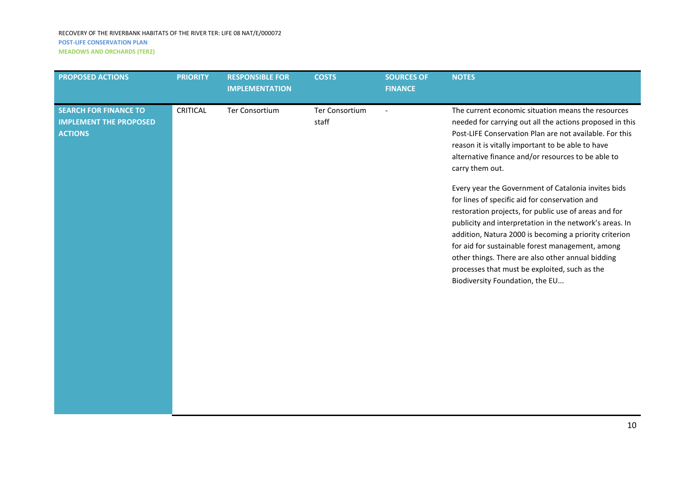#### RECOVERY OF THE RIVERBANK HABITATS OF THE RIVER TER: LIFE 08 NAT/E/000072 **POST-LIFE CONSERVATION PLAN MEADOWS AND ORCHARDS (TER2)**

| <b>PROPOSED ACTIONS</b>                                                         | <b>PRIORITY</b> | <b>RESPONSIBLE FOR</b><br><b>IMPLEMENTATION</b> | <b>COSTS</b>            | <b>SOURCES OF</b><br><b>FINANCE</b> | <b>NOTES</b>                                                                                                                                                                                                                                                                                                                                                                                                                                                                     |
|---------------------------------------------------------------------------------|-----------------|-------------------------------------------------|-------------------------|-------------------------------------|----------------------------------------------------------------------------------------------------------------------------------------------------------------------------------------------------------------------------------------------------------------------------------------------------------------------------------------------------------------------------------------------------------------------------------------------------------------------------------|
| <b>SEARCH FOR FINANCE TO</b><br><b>IMPLEMENT THE PROPOSED</b><br><b>ACTIONS</b> | <b>CRITICAL</b> | Ter Consortium                                  | Ter Consortium<br>staff | $\blacksquare$                      | The current economic situation means the resources<br>needed for carrying out all the actions proposed in this<br>Post-LIFE Conservation Plan are not available. For this<br>reason it is vitally important to be able to have<br>alternative finance and/or resources to be able to<br>carry them out.                                                                                                                                                                          |
|                                                                                 |                 |                                                 |                         |                                     | Every year the Government of Catalonia invites bids<br>for lines of specific aid for conservation and<br>restoration projects, for public use of areas and for<br>publicity and interpretation in the network's areas. In<br>addition, Natura 2000 is becoming a priority criterion<br>for aid for sustainable forest management, among<br>other things. There are also other annual bidding<br>processes that must be exploited, such as the<br>Biodiversity Foundation, the EU |
|                                                                                 |                 |                                                 |                         |                                     |                                                                                                                                                                                                                                                                                                                                                                                                                                                                                  |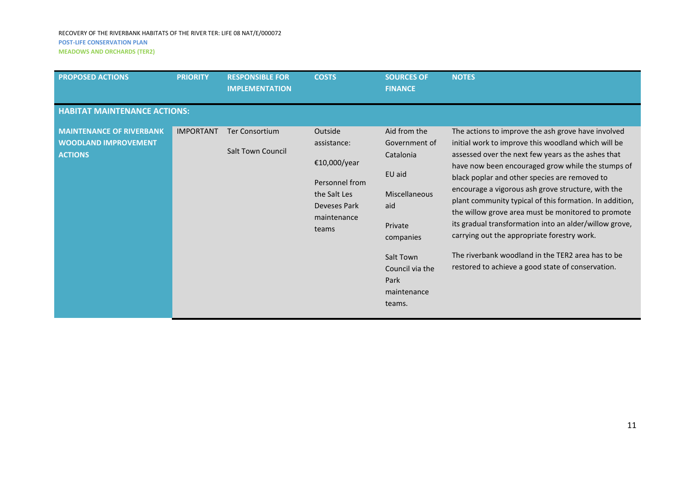| <b>PROPOSED ACTIONS</b>                                                          | <b>PRIORITY</b>  | <b>RESPONSIBLE FOR</b><br><b>IMPLEMENTATION</b>   | <b>COSTS</b>                                                                                                     | <b>SOURCES OF</b><br><b>FINANCE</b>                                                                                                                                          | <b>NOTES</b>                                                                                                                                                                                                                                                                                                                                                                                                                                                                                                                                                                                                                                                    |  |  |  |
|----------------------------------------------------------------------------------|------------------|---------------------------------------------------|------------------------------------------------------------------------------------------------------------------|------------------------------------------------------------------------------------------------------------------------------------------------------------------------------|-----------------------------------------------------------------------------------------------------------------------------------------------------------------------------------------------------------------------------------------------------------------------------------------------------------------------------------------------------------------------------------------------------------------------------------------------------------------------------------------------------------------------------------------------------------------------------------------------------------------------------------------------------------------|--|--|--|
| <b>HABITAT MAINTENANCE ACTIONS:</b>                                              |                  |                                                   |                                                                                                                  |                                                                                                                                                                              |                                                                                                                                                                                                                                                                                                                                                                                                                                                                                                                                                                                                                                                                 |  |  |  |
| <b>MAINTENANCE OF RIVERBANK</b><br><b>WOODLAND IMPROVEMENT</b><br><b>ACTIONS</b> | <b>IMPORTANT</b> | <b>Ter Consortium</b><br><b>Salt Town Council</b> | Outside<br>assistance:<br>€10,000/year<br>Personnel from<br>the Salt Les<br>Deveses Park<br>maintenance<br>teams | Aid from the<br>Government of<br>Catalonia<br>EU aid<br><b>Miscellaneous</b><br>aid<br>Private<br>companies<br>Salt Town<br>Council via the<br>Park<br>maintenance<br>teams. | The actions to improve the ash grove have involved<br>initial work to improve this woodland which will be<br>assessed over the next few years as the ashes that<br>have now been encouraged grow while the stumps of<br>black poplar and other species are removed to<br>encourage a vigorous ash grove structure, with the<br>plant community typical of this formation. In addition,<br>the willow grove area must be monitored to promote<br>its gradual transformation into an alder/willow grove,<br>carrying out the appropriate forestry work.<br>The riverbank woodland in the TER2 area has to be<br>restored to achieve a good state of conservation. |  |  |  |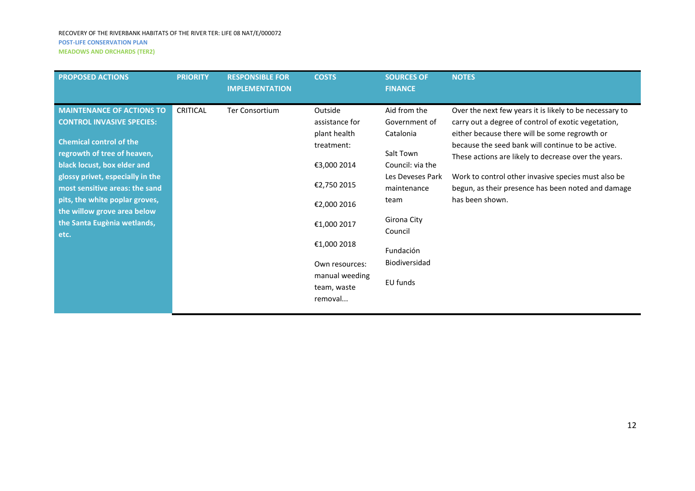| <b>PROPOSED ACTIONS</b>                                                                                                                                                                                                                                                                                                                            | <b>PRIORITY</b> | <b>RESPONSIBLE FOR</b><br><b>IMPLEMENTATION</b> | <b>COSTS</b>                                                                                                                                                                                     | <b>SOURCES OF</b><br><b>FINANCE</b>                                                                                                                                                        | <b>NOTES</b>                                                                                                                                                                                                                                                                                                                                                                                                 |
|----------------------------------------------------------------------------------------------------------------------------------------------------------------------------------------------------------------------------------------------------------------------------------------------------------------------------------------------------|-----------------|-------------------------------------------------|--------------------------------------------------------------------------------------------------------------------------------------------------------------------------------------------------|--------------------------------------------------------------------------------------------------------------------------------------------------------------------------------------------|--------------------------------------------------------------------------------------------------------------------------------------------------------------------------------------------------------------------------------------------------------------------------------------------------------------------------------------------------------------------------------------------------------------|
| <b>MAINTENANCE OF ACTIONS TO</b><br><b>CONTROL INVASIVE SPECIES:</b><br><b>Chemical control of the</b><br>regrowth of tree of heaven,<br>black locust, box elder and<br>glossy privet, especially in the<br>most sensitive areas: the sand<br>pits, the white poplar groves,<br>the willow grove area below<br>the Santa Eugènia wetlands,<br>etc. | <b>CRITICAL</b> | Ter Consortium                                  | Outside<br>assistance for<br>plant health<br>treatment:<br>€3,000 2014<br>€2,750 2015<br>€2,000 2016<br>€1,000 2017<br>€1,000 2018<br>Own resources:<br>manual weeding<br>team, waste<br>removal | Aid from the<br>Government of<br>Catalonia<br>Salt Town<br>Council: via the<br>Les Deveses Park<br>maintenance<br>team<br>Girona City<br>Council<br>Fundación<br>Biodiversidad<br>EU funds | Over the next few years it is likely to be necessary to<br>carry out a degree of control of exotic vegetation,<br>either because there will be some regrowth or<br>because the seed bank will continue to be active.<br>These actions are likely to decrease over the years.<br>Work to control other invasive species must also be<br>begun, as their presence has been noted and damage<br>has been shown. |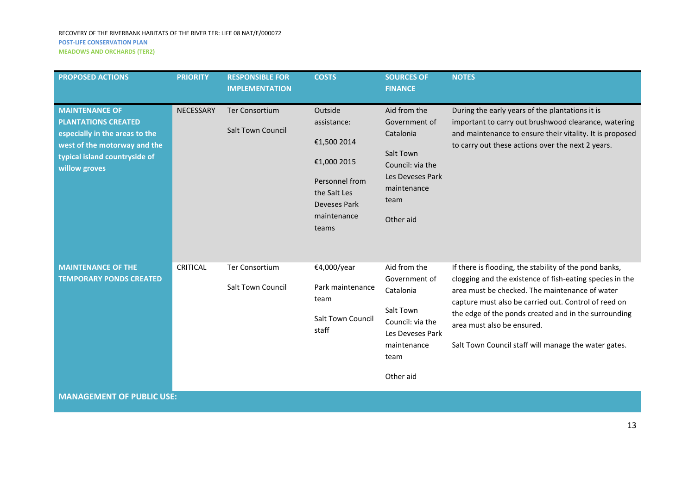| <b>PROPOSED ACTIONS</b>                                                                                                                                                 | <b>PRIORITY</b> | <b>RESPONSIBLE FOR</b><br><b>IMPLEMENTATION</b>   | <b>COSTS</b>                                                                                                                   | <b>SOURCES OF</b><br><b>FINANCE</b>                                                                                                 | <b>NOTES</b>                                                                                                                                                                                                                                                                                                                                                               |
|-------------------------------------------------------------------------------------------------------------------------------------------------------------------------|-----------------|---------------------------------------------------|--------------------------------------------------------------------------------------------------------------------------------|-------------------------------------------------------------------------------------------------------------------------------------|----------------------------------------------------------------------------------------------------------------------------------------------------------------------------------------------------------------------------------------------------------------------------------------------------------------------------------------------------------------------------|
| <b>MAINTENANCE OF</b><br><b>PLANTATIONS CREATED</b><br>especially in the areas to the<br>west of the motorway and the<br>typical island countryside of<br>willow groves | NECESSARY       | <b>Ter Consortium</b><br><b>Salt Town Council</b> | Outside<br>assistance:<br>€1,500 2014<br>€1,000 2015<br>Personnel from<br>the Salt Les<br>Deveses Park<br>maintenance<br>teams | Aid from the<br>Government of<br>Catalonia<br>Salt Town<br>Council: via the<br>Les Deveses Park<br>maintenance<br>team<br>Other aid | During the early years of the plantations it is<br>important to carry out brushwood clearance, watering<br>and maintenance to ensure their vitality. It is proposed<br>to carry out these actions over the next 2 years.                                                                                                                                                   |
| <b>MAINTENANCE OF THE</b><br><b>TEMPORARY PONDS CREATED</b>                                                                                                             | <b>CRITICAL</b> | <b>Ter Consortium</b><br>Salt Town Council        | €4,000/year<br>Park maintenance<br>team<br><b>Salt Town Council</b><br>staff                                                   | Aid from the<br>Government of<br>Catalonia<br>Salt Town<br>Council: via the<br>Les Deveses Park<br>maintenance<br>team<br>Other aid | If there is flooding, the stability of the pond banks,<br>clogging and the existence of fish-eating species in the<br>area must be checked. The maintenance of water<br>capture must also be carried out. Control of reed on<br>the edge of the ponds created and in the surrounding<br>area must also be ensured.<br>Salt Town Council staff will manage the water gates. |
| <b>MANAGEMENT OF PUBLIC USE:</b>                                                                                                                                        |                 |                                                   |                                                                                                                                |                                                                                                                                     |                                                                                                                                                                                                                                                                                                                                                                            |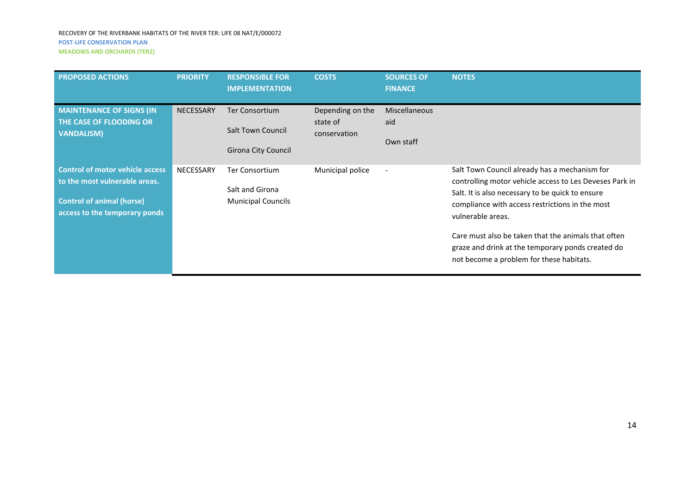| <b>MEADOWS AND ORCHARDS (TER2)</b> |  |
|------------------------------------|--|
|------------------------------------|--|

| <b>PROPOSED ACTIONS</b>                                                                                                                      | <b>PRIORITY</b>  | <b>RESPONSIBLE FOR</b><br><b>IMPLEMENTATION</b>                       | <b>COSTS</b>                                 | <b>SOURCES OF</b><br><b>FINANCE</b>      | <b>NOTES</b>                                                                                                                                                                                                                                                                                                                                                                                 |
|----------------------------------------------------------------------------------------------------------------------------------------------|------------------|-----------------------------------------------------------------------|----------------------------------------------|------------------------------------------|----------------------------------------------------------------------------------------------------------------------------------------------------------------------------------------------------------------------------------------------------------------------------------------------------------------------------------------------------------------------------------------------|
| <b>MAINTENANCE OF SIGNS (IN)</b><br>THE CASE OF FLOODING OR<br><b>VANDALISM)</b>                                                             | <b>NECESSARY</b> | Ter Consortium<br><b>Salt Town Council</b><br>Girona City Council     | Depending on the<br>state of<br>conservation | <b>Miscellaneous</b><br>aid<br>Own staff |                                                                                                                                                                                                                                                                                                                                                                                              |
| <b>Control of motor vehicle access</b><br>to the most vulnerable areas.<br><b>Control of animal (horse)</b><br>access to the temporary ponds | <b>NECESSARY</b> | <b>Ter Consortium</b><br>Salt and Girona<br><b>Municipal Councils</b> | Municipal police                             | $\overline{\phantom{a}}$                 | Salt Town Council already has a mechanism for<br>controlling motor vehicle access to Les Deveses Park in<br>Salt. It is also necessary to be quick to ensure<br>compliance with access restrictions in the most<br>vulnerable areas.<br>Care must also be taken that the animals that often<br>graze and drink at the temporary ponds created do<br>not become a problem for these habitats. |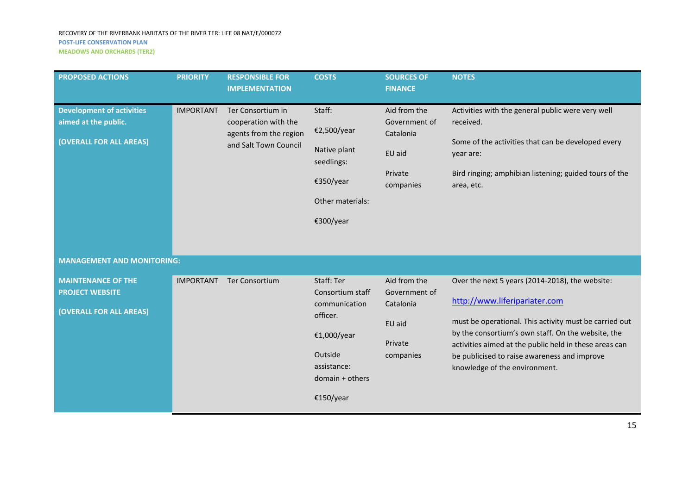| <b>PROPOSED ACTIONS</b>                                                             | <b>PRIORITY</b>  | <b>RESPONSIBLE FOR</b><br><b>IMPLEMENTATION</b>                                              | <b>COSTS</b>                                                                                                                         | <b>SOURCES OF</b><br><b>FINANCE</b>                                          | <b>NOTES</b>                                                                                                                                                                                                                                                                                                                                |
|-------------------------------------------------------------------------------------|------------------|----------------------------------------------------------------------------------------------|--------------------------------------------------------------------------------------------------------------------------------------|------------------------------------------------------------------------------|---------------------------------------------------------------------------------------------------------------------------------------------------------------------------------------------------------------------------------------------------------------------------------------------------------------------------------------------|
| <b>Development of activities</b><br>aimed at the public.<br>(OVERALL FOR ALL AREAS) | <b>IMPORTANT</b> | Ter Consortium in<br>cooperation with the<br>agents from the region<br>and Salt Town Council | Staff:<br>€2,500/year<br>Native plant<br>seedlings:<br>€350/year<br>Other materials:<br>€300/year                                    | Aid from the<br>Government of<br>Catalonia<br>EU aid<br>Private<br>companies | Activities with the general public were very well<br>received.<br>Some of the activities that can be developed every<br>year are:<br>Bird ringing; amphibian listening; guided tours of the<br>area, etc.                                                                                                                                   |
| <b>MANAGEMENT AND MONITORING:</b>                                                   |                  |                                                                                              |                                                                                                                                      |                                                                              |                                                                                                                                                                                                                                                                                                                                             |
| <b>MAINTENANCE OF THE</b><br><b>PROJECT WEBSITE</b><br>(OVERALL FOR ALL AREAS)      | <b>IMPORTANT</b> | <b>Ter Consortium</b>                                                                        | Staff: Ter<br>Consortium staff<br>communication<br>officer.<br>€1,000/year<br>Outside<br>assistance:<br>domain + others<br>€150/year | Aid from the<br>Government of<br>Catalonia<br>EU aid<br>Private<br>companies | Over the next 5 years (2014-2018), the website:<br>http://www.liferipariater.com<br>must be operational. This activity must be carried out<br>by the consortium's own staff. On the website, the<br>activities aimed at the public held in these areas can<br>be publicised to raise awareness and improve<br>knowledge of the environment. |